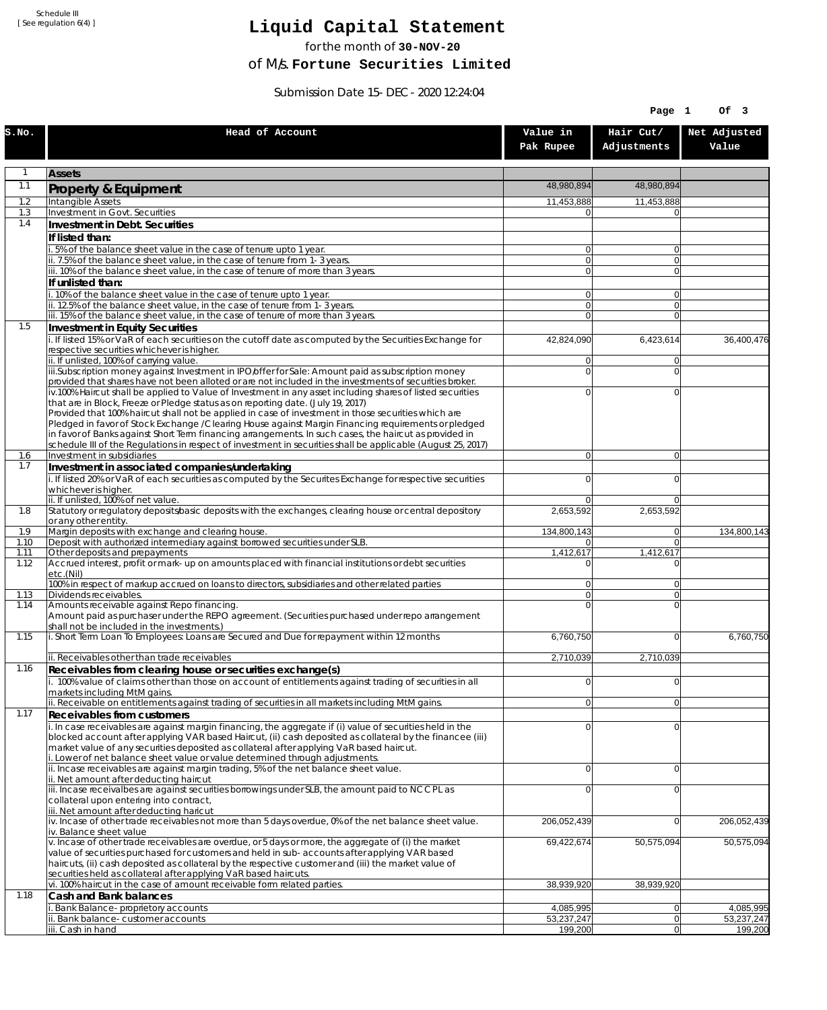Schedule III [ See regulation 6(4) ]

## **Liquid Capital Statement**

for the month of **30-NOV-20**

of M/s. **Fortune Securities Limited**

Submission Date 15-DEC-2020 12:24:04

|              |                                                                                                                                                                                                                        |                         | Page 1                   | Of 3                    |
|--------------|------------------------------------------------------------------------------------------------------------------------------------------------------------------------------------------------------------------------|-------------------------|--------------------------|-------------------------|
| S.NO.        | Head of Account                                                                                                                                                                                                        | Value in<br>Pak Rupee   | Hair Cut/<br>Adjustments | Net Adjusted<br>Value   |
| $\mathbf{1}$ | <b>Assets</b>                                                                                                                                                                                                          |                         |                          |                         |
| 1.1          | Property & Equipment                                                                                                                                                                                                   | 48,980,894              | 48,980,894               |                         |
| 1.2          | Intangible Assets                                                                                                                                                                                                      | 11,453,888              | 11,453,888               |                         |
| 1.3<br>1.4   | Investment in Govt. Securities                                                                                                                                                                                         | 0                       | $\Omega$                 |                         |
|              | Investment in Debt. Securities<br>If listed than:                                                                                                                                                                      |                         |                          |                         |
|              | i. 5% of the balance sheet value in the case of tenure upto 1 year.                                                                                                                                                    | $\overline{0}$          | $\overline{0}$           |                         |
|              | ii. 7.5% of the balance sheet value, in the case of tenure from 1-3 years.                                                                                                                                             | $\overline{0}$          | $\overline{0}$           |                         |
|              | iii. 10% of the balance sheet value, in the case of tenure of more than 3 years.<br>If unlisted than:                                                                                                                  | $\overline{0}$          | $\overline{0}$           |                         |
|              | i. 10% of the balance sheet value in the case of tenure upto 1 year.                                                                                                                                                   | 0                       | $\Omega$                 |                         |
|              | ii. 12.5% of the balance sheet value, in the case of tenure from 1-3 years.                                                                                                                                            | $\overline{0}$          | $\overline{0}$           |                         |
| 1.5          | iii. 15% of the balance sheet value, in the case of tenure of more than 3 years.<br>Investment in Equity Securities                                                                                                    | $\overline{0}$          | $\Omega$                 |                         |
|              | i. If listed 15% or VaR of each securities on the cutoff date as computed by the Securities Exchange for                                                                                                               | 42,824,090              | 6,423,614                | 36,400,476              |
|              | respective securities whichever is higher.                                                                                                                                                                             |                         |                          |                         |
|              | ii. If unlisted, 100% of carrying value.<br>iii.Subscription money against Investment in IPO/offer for Sale: Amount paid as subscription money                                                                         | 0<br>$\mathbf 0$        | $\Omega$<br>$\Omega$     |                         |
|              | provided that shares have not been alloted or are not included in the investments of securities broker.                                                                                                                |                         |                          |                         |
|              | iv.100% Haircut shall be applied to Value of Investment in any asset including shares of listed securities                                                                                                             | 0                       | $\Omega$                 |                         |
|              | that are in Block, Freeze or Pledge status as on reporting date. (July 19, 2017)<br>Provided that 100% haircut shall not be applied in case of investment in those securities which are                                |                         |                          |                         |
|              | Pledged in favor of Stock Exchange / Clearing House against Margin Financing requirements or pledged                                                                                                                   |                         |                          |                         |
|              | in favor of Banks against Short Term financing arrangements. In such cases, the haircut as provided in<br>schedule III of the Regulations in respect of investment in securities shall be applicable (August 25, 2017) |                         |                          |                         |
| 1.6          | Investment in subsidiaries                                                                                                                                                                                             | $\overline{0}$          | $\overline{0}$           |                         |
| 1.7          | Investment in associated companies/undertaking                                                                                                                                                                         |                         |                          |                         |
|              | i. If listed 20% or VaR of each securities as computed by the Securites Exchange for respective securities<br>whichever is higher.                                                                                     | 0                       | $\Omega$                 |                         |
|              | ii. If unlisted, 100% of net value.                                                                                                                                                                                    | 0                       | $\Omega$                 |                         |
| 1.8          | Statutory or regulatory deposits/basic deposits with the exchanges, clearing house or central depository                                                                                                               | 2,653,592               | 2,653,592                |                         |
| 1.9          | or any other entity.<br>Margin deposits with exchange and clearing house.                                                                                                                                              | 134,800,143             | 0                        | 134,800,143             |
| 1.10         | Deposit with authorized intermediary against borrowed securities under SLB.                                                                                                                                            | 01                      | $\overline{0}$           |                         |
| 1.11<br>1.12 | Other deposits and prepayments<br>Accrued interest, profit or mark-up on amounts placed with financial institutions or debt securities                                                                                 | 1,412,617<br>$\Omega$   | 1,412,617<br>$\Omega$    |                         |
|              | etc.(Nil)                                                                                                                                                                                                              |                         |                          |                         |
| 1.13         | 100% in respect of markup accrued on loans to directors, subsidiaries and other related parties<br>Dividends receivables.                                                                                              | 0<br>$\overline{0}$     | $\Omega$<br>$\Omega$     |                         |
| 1.14         | Amounts receivable against Repo financing.                                                                                                                                                                             | 0                       | $\Omega$                 |                         |
|              | Amount paid as purchaser under the REPO agreement. (Securities purchased under repo arrangement                                                                                                                        |                         |                          |                         |
| 1.15         | shall not be included in the investments.)<br>i. Short Term Loan To Employees: Loans are Secured and Due for repayment within 12 months                                                                                | 6,760,750               | $\overline{0}$           | 6,760,750               |
|              |                                                                                                                                                                                                                        |                         |                          |                         |
| 1.16         | ii. Receivables other than trade receivables                                                                                                                                                                           | 2,710,039               | 2,710,039                |                         |
|              | Receivables from clearing house or securities exchange(s)<br>i. 100% value of claims other than those on account of entitlements against trading of securities in all                                                  | 0                       | 0                        |                         |
|              | markets including MtM gains.                                                                                                                                                                                           |                         |                          |                         |
| 1.17         | ii. Receivable on entitlements against trading of securities in all markets including MtM gains.                                                                                                                       | $\overline{0}$          | 0                        |                         |
|              | <b>Receivables from customers</b><br>i. In case receivables are against margin financing, the aggregate if (i) value of securities held in the                                                                         | $\mathbf 0$             | $\Omega$                 |                         |
|              | blocked account after applying VAR based Haircut, (ii) cash deposited as collateral by the financee (iii)                                                                                                              |                         |                          |                         |
|              | market value of any securities deposited as collateral after applying VaR based haircut.<br>i. Lower of net balance sheet value or value determined through adjustments.                                               |                         |                          |                         |
|              | ii. Incase receivables are against margin trading, 5% of the net balance sheet value.                                                                                                                                  | $\mathbf 0$             | $\overline{0}$           |                         |
|              | ii. Net amount after deducting haircut                                                                                                                                                                                 |                         |                          |                         |
|              | iii. Incase receivalbes are against securities borrowings under SLB, the amount paid to NCCPL as<br>collateral upon entering into contract,                                                                            | 0                       | $\Omega$                 |                         |
|              | iii. Net amount after deducting haricut                                                                                                                                                                                |                         |                          |                         |
|              | $iv.$ Incase of other trade receivables not more than 5 days overdue, 0% of the net balance sheet value.<br>iv. Balance sheet value                                                                                    | 206,052,439             | $\overline{0}$           | 206,052,439             |
|              | v. Incase of other trade receivables are overdue, or 5 days or more, the aggregate of (i) the market                                                                                                                   | 69,422,674              | 50,575,094               | 50,575,094              |
|              | value of securities purchased for customers and held in sub-accounts after applying VAR based                                                                                                                          |                         |                          |                         |
|              | haircuts, (ii) cash deposited as collateral by the respective customer and (iii) the market value of<br>securities held as collateral after applying VaR based haircuts.                                               |                         |                          |                         |
|              | vi. 100% haircut in the case of amount receivable form related parties.                                                                                                                                                | 38,939,920              | 38,939,920               |                         |
| 1.18         | Cash and Bank balances                                                                                                                                                                                                 |                         |                          |                         |
|              | i. Bank Balance-proprietory accounts<br>ii. Bank balance-customer accounts                                                                                                                                             | 4,085,995<br>53,237,247 | 0 <br> 0                 | 4,085,995<br>53,237,247 |
|              | iii. Cash in hand                                                                                                                                                                                                      | 199,200                 | 0                        | 199,200                 |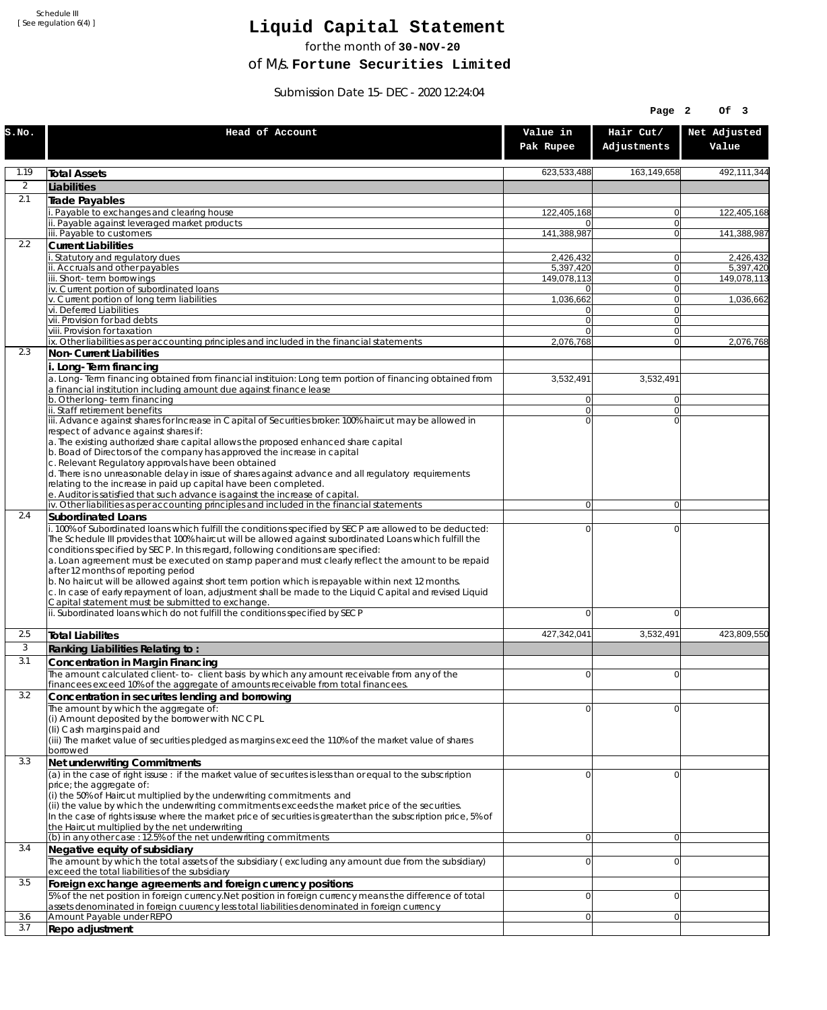Schedule III [ See regulation 6(4) ]

## **Liquid Capital Statement**

for the month of **30-NOV-20**

of M/s. **Fortune Securities Limited**

Submission Date 15-DEC-2020 12:24:04

|                |                                                                                                                                                                                                                                                                                                                                                                                                                                                                                                                              |                                  | Page 2                   | OF <sub>3</sub>          |
|----------------|------------------------------------------------------------------------------------------------------------------------------------------------------------------------------------------------------------------------------------------------------------------------------------------------------------------------------------------------------------------------------------------------------------------------------------------------------------------------------------------------------------------------------|----------------------------------|--------------------------|--------------------------|
| S.NO.          | Head of Account                                                                                                                                                                                                                                                                                                                                                                                                                                                                                                              | Value in<br>Pak Rupee            | Hair Cut/<br>Adjustments | Net Adjusted<br>Value    |
| 1.19           | <b>Total Assets</b>                                                                                                                                                                                                                                                                                                                                                                                                                                                                                                          | 623,533,488                      | 163,149,658              | 492,111,344              |
| $\overline{2}$ | Liabilities                                                                                                                                                                                                                                                                                                                                                                                                                                                                                                                  |                                  |                          |                          |
| 2.1            | Trade Payables                                                                                                                                                                                                                                                                                                                                                                                                                                                                                                               |                                  |                          |                          |
|                | Payable to exchanges and clearing house                                                                                                                                                                                                                                                                                                                                                                                                                                                                                      | 122,405,168                      | 0                        | 122,405,168              |
|                | ii. Payable against leveraged market products<br>iii. Payable to customers                                                                                                                                                                                                                                                                                                                                                                                                                                                   | 141,388,987                      | $\mathbf{0}$<br>0        | 141,388,987              |
| 2.2            | <b>Current Liabilities</b>                                                                                                                                                                                                                                                                                                                                                                                                                                                                                                   |                                  |                          |                          |
|                | . Statutory and regulatory dues                                                                                                                                                                                                                                                                                                                                                                                                                                                                                              | 2.426.432                        | 0                        | 2,426,432                |
|                | ii. Accruals and other payables<br>iii. Short-term borrowings                                                                                                                                                                                                                                                                                                                                                                                                                                                                | 5.397.420<br>149,078,113         | $\mathbf{0}$<br>0        | 5,397,420<br>149,078,113 |
|                | iv. Current portion of subordinated loans                                                                                                                                                                                                                                                                                                                                                                                                                                                                                    | 01                               | 0                        |                          |
|                | v. Current portion of long term liabilities                                                                                                                                                                                                                                                                                                                                                                                                                                                                                  | 1,036,662                        | $\mathbf{0}$             | 1,036,662                |
|                | vi. Deferred Liabilities<br>vii. Provision for bad debts                                                                                                                                                                                                                                                                                                                                                                                                                                                                     | 0<br>$\overline{0}$              | 0<br>$\mathbf{0}$        |                          |
|                | viii. Provision for taxation                                                                                                                                                                                                                                                                                                                                                                                                                                                                                                 | $\Omega$                         | $\mathbf{0}$             |                          |
|                | ix. Other liabilities as per accounting principles and included in the financial statements                                                                                                                                                                                                                                                                                                                                                                                                                                  | 2,076,768                        | $\overline{0}$           | 2,076,768                |
| 2.3            | Non-Current Liabilities                                                                                                                                                                                                                                                                                                                                                                                                                                                                                                      |                                  |                          |                          |
|                | i. Long-Term financing<br>a. Long-Term financing obtained from financial instituion: Long term portion of financing obtained from<br>a financial institution including amount due against finance lease                                                                                                                                                                                                                                                                                                                      | 3,532,491                        | 3,532,491                |                          |
|                | b. Other long-term financing<br>ii. Staff retirement benefits                                                                                                                                                                                                                                                                                                                                                                                                                                                                | $\overline{0}$<br>$\overline{0}$ | $\mathbf{0}$<br>0        |                          |
|                | iii. Advance against shares for Increase in Capital of Securities broker: 100% haircut may be allowed in                                                                                                                                                                                                                                                                                                                                                                                                                     | $\Omega$                         | $\Omega$                 |                          |
|                | respect of advance against shares if:<br>a. The existing authorized share capital allows the proposed enhanced share capital<br>b. Boad of Directors of the company has approved the increase in capital<br>c. Relevant Regulatory approvals have been obtained<br>d. There is no unreasonable delay in issue of shares against advance and all regulatory requirements<br>relating to the increase in paid up capital have been completed.<br>e. Auditor is satisfied that such advance is against the increase of capital. |                                  |                          |                          |
|                | iv. Other liabilities as per accounting principles and included in the financial statements                                                                                                                                                                                                                                                                                                                                                                                                                                  | $\overline{0}$                   | $\overline{0}$           |                          |
| 2.4            | <b>Subordinated Loans</b><br>. 100% of Subordinated loans which fulfill the conditions specified by SECP are allowed to be deducted:<br>The Schedule III provides that 100% haircut will be allowed against subordinated Loans which fulfill the<br>conditions specified by SECP. In this regard, following conditions are specified:<br>a. Loan agreement must be executed on stamp paper and must clearly reflect the amount to be repaid<br>after 12 months of reporting period                                           | 0                                | 0                        |                          |
|                | b. No haircut will be allowed against short term portion which is repayable within next 12 months.<br>c. In case of early repayment of loan, adjustment shall be made to the Liquid Capital and revised Liquid<br>Capital statement must be submitted to exchange.<br>ii. Subordinated loans which do not fulfill the conditions specified by SECP                                                                                                                                                                           | 0                                | 0                        |                          |
| 2.5            |                                                                                                                                                                                                                                                                                                                                                                                                                                                                                                                              | 427,342,041                      | 3,532,491                | 423,809,550              |
| 3              | <b>Total Liabilites</b><br>Ranking Liabilities Relating to:                                                                                                                                                                                                                                                                                                                                                                                                                                                                  |                                  |                          |                          |
| 3.1            | Concentration in Margin Financing                                                                                                                                                                                                                                                                                                                                                                                                                                                                                            |                                  |                          |                          |
|                | The amount calculated client-to- client basis by which any amount receivable from any of the                                                                                                                                                                                                                                                                                                                                                                                                                                 | ΩI                               | $\Omega$                 |                          |
| 3.2            | financees exceed 10% of the aggregate of amounts receivable from total financees.<br>Concentration in securites lending and borrowing                                                                                                                                                                                                                                                                                                                                                                                        |                                  |                          |                          |
|                | The amount by which the aggregate of:<br>(i) Amount deposited by the borrower with NCCPL<br>(Ii) Cash margins paid and<br>(iii) The market value of securities pledged as margins exceed the 110% of the market value of shares<br>borrowed                                                                                                                                                                                                                                                                                  | 0                                | 0                        |                          |
| 3.3            | Net underwriting Commitments                                                                                                                                                                                                                                                                                                                                                                                                                                                                                                 |                                  |                          |                          |
|                | (a) in the case of right issuse : if the market value of securites is less than or equal to the subscription<br>price; the aggregate of:<br>(i) the 50% of Haircut multiplied by the underwriting commitments and<br>(ii) the value by which the underwriting commitments exceeds the market price of the securities.<br>In the case of rights issuse where the market price of securities is greater than the subscription price, 5% of<br>the Haircut multiplied by the net underwriting                                   | 0                                | 0                        |                          |
| 3.4            | (b) in any other case: 12.5% of the net underwriting commitments<br>Negative equity of subsidiary                                                                                                                                                                                                                                                                                                                                                                                                                            | 0                                | 0                        |                          |
|                | The amount by which the total assets of the subsidiary (excluding any amount due from the subsidiary)<br>exceed the total liabilities of the subsidiary                                                                                                                                                                                                                                                                                                                                                                      | $\overline{0}$                   | 0                        |                          |
| 3.5            | Foreign exchange agreements and foreign currency positions                                                                                                                                                                                                                                                                                                                                                                                                                                                                   |                                  |                          |                          |
|                | 5% of the net position in foreign currency. Net position in foreign currency means the difference of total<br>assets denominated in foreign cuurency less total liabilities denominated in foreign currency                                                                                                                                                                                                                                                                                                                  | 0                                | 0                        |                          |
| 3.6<br>3.7     | Amount Payable under REPO<br>Repo adjustment                                                                                                                                                                                                                                                                                                                                                                                                                                                                                 | 0                                | 0                        |                          |
|                |                                                                                                                                                                                                                                                                                                                                                                                                                                                                                                                              |                                  |                          |                          |